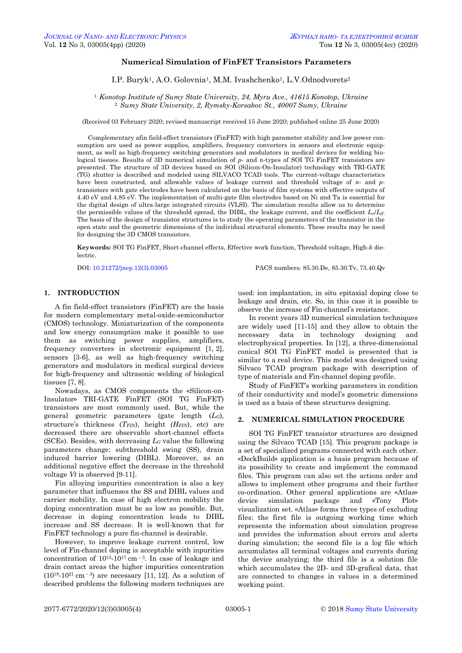# **Numerical Simulation of FinFET Transistors Parameters**

I.P. Buryk<sup>1</sup>, A.O. Golovnia<sup>1</sup>, M.M. Ivashchenko<sup>1</sup>, L.V.Odnodvorets<sup>2</sup>

<sup>1</sup> *Konotop Institute of Sumy State University, 24, Myru Ave., 41615 Konotop, Ukraine* <sup>2</sup> *Sumy State University, 2, Rymsky-Korsakov St., 40007 Sumy, Ukraine*

(Received 03 February 2020; revised manuscript received 15 June 2020; published online 25 June 2020)

Complementary afin field-effect transistors (FinFET) with high parameter stability and low power consumption are used as power supplies, amplifiers, frequency converters in sensors and electronic equipment, as well as high-frequency switching generators and modulators in medical devices for welding biological tissues. Results of 3D numerical simulation of *p*- and *n*-types of SOI TG FinFET transistors are presented. The structure of 3D devices based on SOI (Silicon-On-Insulator) technology with TRI-GATE (TG) shutter is described and modeled using SILVACO TCAD tools. The current-voltage characteristics have been constructed, and allowable values of leakage current and threshold voltage of *n*- and *p*transistors with gate electrodes have been calculated on the basis of film systems with effective outputs of 4.40 eV and 4.85 eV. The implementation of multi-gate film electrodes based on Ni and Ta is essential for the digital design of ultra-large integrated circuits (VLSI). The simulation results allow us to determine the permissible values of the threshold spread, the DIBL, the leakage current, and the coefficient *Ion*/*Ioff*. The basis of the design of transistor structures is to study the operating parameters of the transistor in the open state and the geometric dimensions of the individual structural elements. These results may be used for designing the 3D CMOS transistors.

**Keywords:** SOI TG FinFET, Short-channel effects, Effective work function, Threshold voltage, High-*k* dielectric.

DOI[: 10.21272/jnep.12\(3\).03005](https://doi.org/10.21272/jnep.12(3).03005) PACS numbers: 85.30.De, 85.30.Tv, 73.40.Qv

## **1. INTRODUCTION**

A fin field-effect transistors (FinFET) are the basis for modern complementary metal-oxide-semiconductor (CMOS) technology. Miniaturization of the components and low energy consumption make it possible to use them as switching power supplies, amplifiers, frequency converters in electronic equipment [1, 2], sensors [3-6], as well as high-frequency switching generators and modulators in medical surgical devices for high-frequency and ultrasonic welding of biological tissues [7, 8].

Nowadays, as CMOS components the «Silicon-on-Insulator» TRI-GATE FinFET (SOI TG FinFET) transistors are most commonly used. But, while the general geometric parameters (gate length (*LG*), structure's thickness (*TFIN*), height *(HFIN*), etc) are decreased there are observable short-channel effects (SCEs). Besides, with decreasing *L<sup>G</sup>* value the following parameters change: subthreshold swing (SS), drain induced barrier lowering (DIBL). Moreover, as an additional negative effect the decrease in the threshold voltage *Vt* is observed [9-11].

Fin alloying impurities concentration is also a key parameter that influenses the SS and DIBL values and carrier mobility. In case of high electron mobility the doping concentration must be as low as possible. But, decrease in doping concentration leads to DIBL increase and SS decrease. It is well-known that for FinFET technology a pure fin-channel is desirable.

<span id="page-0-0"></span>However, to improve leakage current control, low level of Fin-channel doping is acceptable with inpurities concentration of  $10^{15}$ - $10^{17}$  cm<sup>-3</sup>. In case of leakage and drain contact areas the higher impurities concentration  $(10^{19} - 10^{21} \text{ cm}^{-3})$  are necessary [11, 12]. As a solution of described problems the following modern techniques are

used: ion implantation, in situ epitaxial doping close to leakage and drain, etc. So, in this case it is possible to observe the increase of Fin-channel's resistance.

In recent years 3D numerical simulation techniques are widely used [11-15] and they allow to obtain the necessary data in technology designing and electrophysical properties. In [12], a three-dimensional conical SOI TG FinFET model is presented that is similar to a real device. This model was designed using Silvaco TCAD program package with description of type of materials and Fin-channel doping profile.

Study of FinFET's working parameters in condition of their conductivity and model's geometric dimensions is used as a basis of these structures designing.

### **2. NUMERICAL SIMULATION PROCEDURE**

SOI TG FinFET transistor structures are designed using the Silvaco TCAD [15]. This program package is a set of specialized programs connected with each other. «DeckBuild» application is a basis program because of its possibility to create and implement the command files. This program can also set the actions order and allows to implement other programs and their further co-ordination. Other general applications are «Atlas» device simulation package and «Tony Plot» visualization set. «Atlas» forms three types of excluding files: the first file is outgoing working time which represents the information about simulation progress and provides the information about errors and alerts during simulation; the second file is a log file which accumulates all terminal voltages and currents during the device analyzing; the third file is a solution file which accumulates the 2D- and 3D-grafical data, that are connected to changes in values in a determined working point.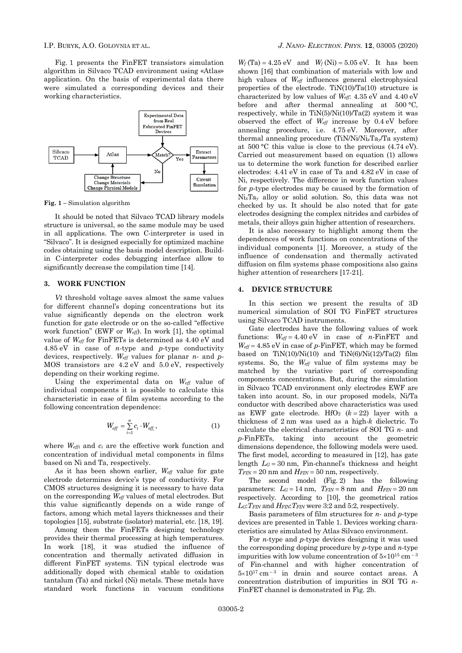Fig. 1 presents the FinFET transistors simulation algorithm in Silvaco TCAD environment using «Atlas» application. On the basis of experimental data there were simulated a corresponding devices and their working characteristics.



**Fig. 1 –** Simulation algorithm

It should be noted that Silvaco TCAD library models structure is universal, so the same module may be used in all applications. The own C-interpreter is used in "Silvaco". It is designed especially for optimized machine codes obtaining using the basis model description. Buildin C-interpreter codes debugging interface allow to significantly decrease the compilation time [14].

## **3. WORK FUNCTION**

*Vt* threshold voltage saves almost the same values for different channel's doping concentrations but its value significantly depends on the electron work function for gate electrode or on the so-called "effective work function" (EWF or *Weff*). In work [1], the optimal value of *Weff* for FinFETs is determined as 4.40 eV and 4.85 eV in case of *n*-type and *р*-type conductivity devices, respectively. *Weff* values for planar *n*- and *p*-MOS transistors are 4.2 eV and 5.0 eV, respectively depending on their working regime.

Using the experimental data on *Weff* value of individual components it is possible to calculate this characteristic in case of film systems according to the following concentration dependence:

$$
W_{\text{eff}} = \sum_{i=1}^{n} c_i \cdot W_{\text{eff}_i}, \qquad (1)
$$

where *Weffi* and *c<sup>i</sup>* are the effective work function and concentration of individual metal components in films based on Ni and Ta, respectively.

As it has been shown earlier, *Weff* value for gate electrode determines device's type of conductivity. For CMOS structures designing it is necessary to have data on the corresponding *Weff* values of metal electrodes. But this value significantly depends on a wide range of factors, among which metal layers thicknesses and their topologies [15], substrate (isolator) material, etc. [18, 19].

Among them the FinFETs designing technology provides their thermal processing at high temperatures. In work [18], it was studied the influence of concentration and thermally activated diffusion in different FinFET systems. TiN typical electrode was additionally doped with chemical stable to oxidation tantalum (Ta) and nickel (Ni) metals. These metals have standard work functions in vacuum conditions

 $W_f$  (Ta) = 4.25 eV and  $W_f$  (Ni) = 5.05 eV. It has been shown [16] that combination of materials with low and high values of *Weff* influences general electrophysical properties of the electrode. TiN(10)/Ta(10) structure is characterized by low values of *Weff*: 4.35 eV and 4.40 eV before and after thermal annealing at 500 °C, respectively, while in  $TiN(5)/Ni(10)/Ta(2)$  system it was observed the effect of *Weff* increase by 0.4 eV before annealing procedure, i.e. 4.75 eV. Moreover, after thermal annealing procedure (TiN/Ni/Ni*x*Ta*y*/Ta system) at 500 °С this value is close to the previous (4.74 eV). Carried out measurement based on equation (1) allows us to determine the work function for described earlier electrodes: 4.41 eV in case of Ta and 4.82 еV in case of Ni, respectively. The difference in work function values for *p*-type electrodes may be caused by the formation of Ni*x*Ta*<sup>y</sup>* alloy or solid solution. So, this data was not checked by us. It should be also noted that for gate electrodes designing the complex nitrides and carbides of metals, their alloys gain higher attention of researchers.

It is also necessary to highlight among them the dependences of work functions on concentrations of the individual components [1]. Moreover, a study of the influence of condensation and thermally activated diffusion on film systems phase compositions also gains higher attention of researchers [17-21].

#### **4. DEVICE STRUCTURE**

In this section we present the results of 3D numerical simulation of SOI TG FinFET structures using Silvaco TCAD instruments.

Gate electrodes have the following values of work functions:  $W_{\text{eff}} = 4.40 \text{ eV}$  in case of *n*-FinFET and  $W_{\text{eff}} = 4.85 \text{ eV}$  in case of *p*-FinFET, which may be formed based on  $TiN(10)/Ni(10)$  and  $TiN(6)/Ni(12)/Ta(2)$  film systems. So, the *Weff* value of film systems may be matched by the variative part of corresponding components concentrations. But, during the simulation in Silvaco TCAD environment only electrodes EWF are taken into acount. So, in our proposed models, Ni/Ta conductor with described above characteristics was used as EWF gate electrode. HfO<sub>2</sub>  $(k = 22)$  layer with a thickness of 2 nm was used as a high-*k* dielectric. To calculate the electrical characteristics of SOI TG *n*- and *p*-FinFETs, taking into account the geometric dimensions dependence, the following models were used. The first model, according to measured in [12], has gate length  $L<sub>G</sub> = 30$  nm, Fin-channel's thickness and height  $T_{\text{FIN}} = 20 \text{ nm}$  and  $H_{\text{FIN}} = 50 \text{ nm}$ , respectively.

The second model (Fig. 2) has the following parameters:  $L_G = 14$  nm,  $T_{FIN} = 8$  nm and  $H_{FIN} = 20$  nm respectively. According to [10], the geometrical ratios *LG*:*TFIN* and *HFIN*:*TFIN* were 3:2 and 5:2, respectively.

Basis parameters of film structures for *n*- and *p*-type devices are presented in Table 1. Devices working characteristics are simulated by Atlas Silvaco environment.

For *n*-type and *p*-type devices designing it was used the corresponding doping procedure by *p*-type and *n*-type impurities with low volume concentration of  $5\times10^{15}$  cm<sup>-3</sup> of Fin-channel and with higher concentration of  $5 \times 10^{17}$  cm<sup>-3</sup> in drain and source contact areas. A concentration distribution of impurities in SOI TG *n*-FinFET channel is demonstrated in Fig. 2b.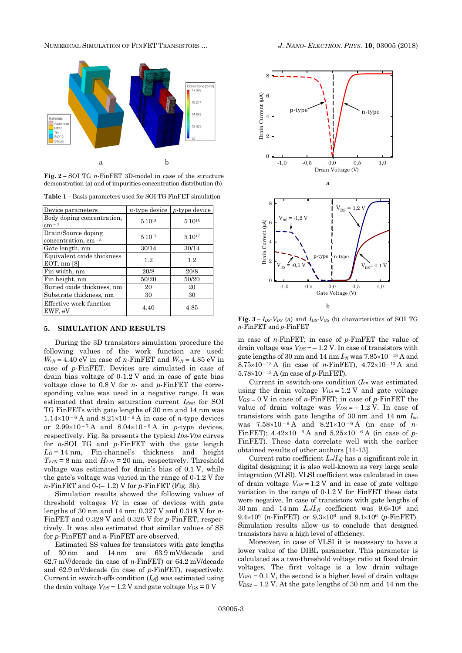NUMERICAL SIMULATION OF FINFET TRANSISTORS … *J. NANO- ELECTRON. PHYS.* **10**, [03005](#page-0-0) (2018)



**Fig. 2 –** SOI TG *n*-FinFET 3D-model in case of the structure demonstration (a) and of impurities concentration distribution (b)

**Table 1 –** Basis parameters used for SOI TG FinFET simulation

| Device parameters                            | $n$ -type device | $p$ -type device |
|----------------------------------------------|------------------|------------------|
| Body doping concentration.<br>$cm - 3$       | 5.1015           | 5.1015           |
| Drain/Source doping<br>concentration, $cm-3$ | 5.1017           | 5.1017           |
| Gate length, nm                              | 30/14            | 30/14            |
| Equivalent oxide thickness<br>EOT, nm [8]    | 1.2              | 1.2              |
| Fin width, nm                                | 20/8             | 20/8             |
| Fin height, nm                               | 50/20            | 50/20            |
| Buried oxide thickness, nm                   | 20               | 20               |
| Substrate thickness, nm                      | 30               | 30               |
| Effective work function<br>EWF, eV           | 4.40             | 4.85             |

## **5. SIMULATION AND RESULTS**

During the 3D transistors simulation procedure the following values of the work function are used:  $W_{\text{eff}} = 4.40 \text{ eV}$  in case of *n*-FinFET and  $W_{\text{eff}} = 4.85 \text{ eV}$  in case of *p*-FinFET. Devices are simulated in case of drain bias voltage of 0-1.2 V and in case of gate bias voltage close to 0.8 V for *n*- and *p*-FinFET the corresponding value was used in a negative range. It was estimated that drain saturation current *Idsat* for SOI TG FinFETs with gate lengths of 30 nm and 14 nm was  $1.14\times10^{-6}$  A and  $8.21\times10^{-6}$  A in case of *n*-type devices or  $2.99 \times 10^{-7}$  A and  $8.04 \times 10^{-6}$  A in *p*-type devices, respectively. Fig. 3a presents the typical *IDS*-*VDS* curves for *n*-SOI TG and *p*-FinFET with the gate length  $L<sub>G</sub> = 14$  nm, Fin-channel's thickness and height  $T_{FIN} = 8$  nm and  $H_{FIN} = 20$  nm, respectively. Threshold voltage was estimated for drain's bias of 0.1 V, while the gate's voltage was varied in the range of 0-1.2 V for *n*-FinFET and 0-(– 1.2) V for *p*-FinFET (Fig. 3b).

Simulation results showed the following values of threshold voltages *Vt* in case of devices with gate lengths of 30 nm and 14 nm: 0.327 V and 0.318 V for *n*-FinFET and 0.329 V and 0.326 V for *p*-FinFET, respectively. It was also estimated that similar values of SS for *p*-FinFET and *n*-FinFET are observed.

Estimated SS values for transistors with gate lengths of 30 nm and 14 nm are 63.9 mV/decade and 62.7 mV/decade (in case of *n*-FinFET) or 64.2 mV/decade and 62.9 mV/decade (in case of *p*-FinFET), respectively. Current in «switch-off» condition (*Ioff*) was estimated using the drain voltage  $V_{DS} = 1.2$  V and gate voltage  $V_{GS} = 0$  V



**Fig. 3 –** *IDS*-*VDS* (a) and *IDS*-*VGS* (b) characteristics of SOI TG *n*-FinFET and *p*-FinFET

in case of *n*-FinFET; in case of *p*-FinFET the value of drain voltage was  $V_{DS} = -1.2$  V. In case of transistors with gate lengths of 30 nm and 14 nm  $I_{off}$  was  $7.85 \times 10^{-13}$  A and 8.75 $\times$ 10<sup>-13</sup> A (in case of *n*-FinFET), 4.72 $\times$ 10<sup>-13</sup> A and  $5.78\times10^{-13}$  A (in case of *p*-FinFET).

Current in «switch-on» condition (*Ion* was estimated using the drain voltage  $V_{DS} = 1.2$  V and gate voltage  $V_{GS} = 0$  V in case of *n*-FinFET; in case of *p*-FinFET the value of drain voltage was  $V_{DS} = -1.2$  V. In case of transistors with gate lengths of 30 nm and 14 nm *Ion* was  $7.58 \times 10^{-6}$  A and  $8.21 \times 10^{-6}$  A (in case of *n*-FinFET);  $4.42 \times 10^{-6}$  A and  $5.25 \times 10^{-6}$  A (in case of *p*-FinFET). These data correlate well with the earlier obtained results of other authors [11-13].

Current ratio coefficient *Ion*/*Ioff* has a significant role in digital designing; it is also well-known as very large scale integration (VLSI). VLSI coefficient was calculated in case of drain voltage  $V_{DS} = 1.2$  V and in case of gate voltage variation in the range of 0-1.2 V for FinFET these data were negative. In case of transistors with gate lengths of 30 nm and 14 nm  $I_{on}/I_{off}$  coefficient was  $9.6 \times 10^6$  and  $9.4 \times 10^6$  (*n*-FinFET) or  $9.3 \times 10^6$  and  $9.1 \times 10^6$  (*p*-FinFET). Simulation results allow us to conclude that designed transistors have a high level of efficiency.

Moreover, in case of VLSI it is necessary to have a lower value of the DIBL parameter. This parameter is calculated as a two-threshold voltage ratio at fixed drain voltages. The first voltage is a low drain voltage  $V_{DS1} = 0.1$  V, the second is a higher level of drain voltage  $V_{DS2} = 1.2$  V. At the gate lengths of 30 nm and 14 nm the